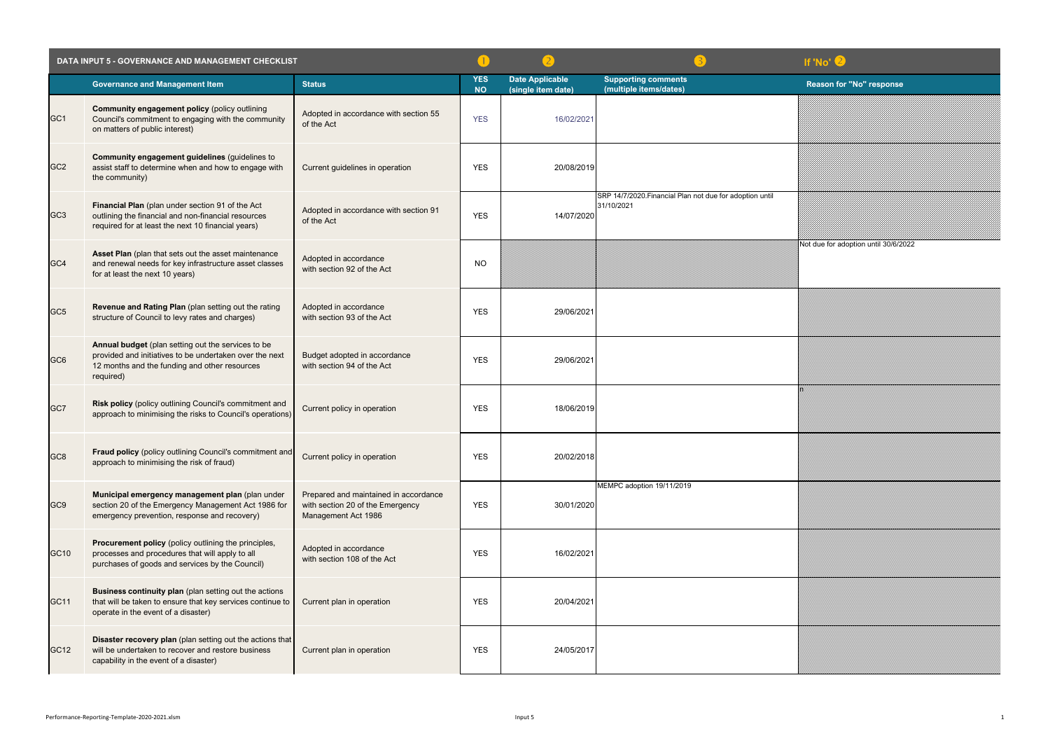| DATA INPUT 5 - GOVERNANCE AND MANAGEMENT CHECKLIST |                                                                                                                                                                             |                                                                                                  |                         |                                              | If 'No' 2                                                              |                                   |
|----------------------------------------------------|-----------------------------------------------------------------------------------------------------------------------------------------------------------------------------|--------------------------------------------------------------------------------------------------|-------------------------|----------------------------------------------|------------------------------------------------------------------------|-----------------------------------|
|                                                    | <b>Governance and Management Item</b>                                                                                                                                       | <b>Status</b>                                                                                    | <b>YES</b><br><b>NO</b> | <b>Date Applicable</b><br>(single item date) | <b>Supporting comments</b><br>(multiple items/dates)                   | <b>Reason for "No" response</b>   |
| GC <sub>1</sub>                                    | <b>Community engagement policy (policy outlining</b><br>Council's commitment to engaging with the community<br>on matters of public interest)                               | Adopted in accordance with section 55<br>of the Act                                              | <b>YES</b>              | 16/02/2021                                   |                                                                        |                                   |
| GC <sub>2</sub>                                    | Community engagement guidelines (guidelines to<br>assist staff to determine when and how to engage with<br>the community)                                                   | Current guidelines in operation                                                                  | <b>YES</b>              | 20/08/2019                                   |                                                                        |                                   |
| GC <sub>3</sub>                                    | Financial Plan (plan under section 91 of the Act<br>outlining the financial and non-financial resources<br>required for at least the next 10 financial years)               | Adopted in accordance with section 91<br>of the Act                                              | <b>YES</b>              | 14/07/2020                                   | SRP 14/7/2020. Financial Plan not due for adoption until<br>31/10/2021 |                                   |
| GC4                                                | Asset Plan (plan that sets out the asset maintenance<br>and renewal needs for key infrastructure asset classes<br>for at least the next 10 years)                           | Adopted in accordance<br>with section 92 of the Act                                              | <b>NO</b>               |                                              |                                                                        | Not due for adoption until 30/6/2 |
| GC <sub>5</sub>                                    | Revenue and Rating Plan (plan setting out the rating<br>structure of Council to levy rates and charges)                                                                     | Adopted in accordance<br>with section 93 of the Act                                              | <b>YES</b>              | 29/06/2021                                   |                                                                        |                                   |
| GC <sub>6</sub>                                    | Annual budget (plan setting out the services to be<br>provided and initiatives to be undertaken over the next<br>12 months and the funding and other resources<br>required) | Budget adopted in accordance<br>with section 94 of the Act                                       | <b>YES</b>              | 29/06/2021                                   |                                                                        |                                   |
| GC7                                                | Risk policy (policy outlining Council's commitment and<br>approach to minimising the risks to Council's operations)                                                         | Current policy in operation                                                                      | <b>YES</b>              | 18/06/2019                                   |                                                                        |                                   |
| GC <sub>8</sub>                                    | Fraud policy (policy outlining Council's commitment and<br>approach to minimising the risk of fraud)                                                                        | Current policy in operation                                                                      | <b>YES</b>              | 20/02/2018                                   |                                                                        |                                   |
| GC <sub>9</sub>                                    | Municipal emergency management plan (plan under<br>section 20 of the Emergency Management Act 1986 for<br>emergency prevention, response and recovery)                      | Prepared and maintained in accordance<br>with section 20 of the Emergency<br>Management Act 1986 | <b>YES</b>              | 30/01/2020                                   | MEMPC adoption 19/11/2019                                              |                                   |
| GC10                                               | Procurement policy (policy outlining the principles,<br>processes and procedures that will apply to all<br>purchases of goods and services by the Council)                  | Adopted in accordance<br>with section 108 of the Act                                             | <b>YES</b>              | 16/02/2021                                   |                                                                        |                                   |
| GC11                                               | Business continuity plan (plan setting out the actions<br>that will be taken to ensure that key services continue to<br>operate in the event of a disaster)                 | Current plan in operation                                                                        | <b>YES</b>              | 20/04/2021                                   |                                                                        |                                   |
| GC12                                               | Disaster recovery plan (plan setting out the actions that<br>will be undertaken to recover and restore business<br>capability in the event of a disaster)                   | Current plan in operation                                                                        | <b>YES</b>              | 24/05/2017                                   |                                                                        |                                   |

| If 'No' 2                            |
|--------------------------------------|
| <b>Reason for "No" response</b>      |
|                                      |
|                                      |
|                                      |
| Not due for adoption until 30/6/2022 |
|                                      |
|                                      |
| en<br>M                              |
|                                      |
|                                      |
|                                      |
|                                      |
|                                      |